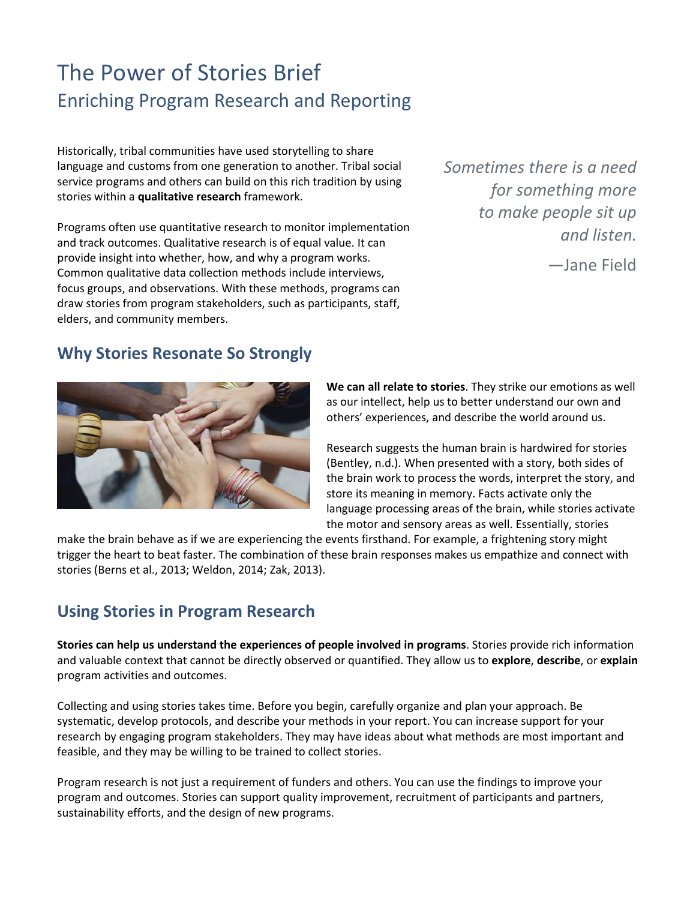# The Power of Stories Brief Enriching Program Research and Reporting

Historically, tribal communities have used storytelling to share language and customs from one generation to another. Tribal social service programs and others can build on this rich tradition by using stories within a **qualitative research** framework.

Programs often use quantitative research to monitor implementation and track outcomes. Qualitative research is of equal value. It can provide insight into whether, how, and why a program works. Common qualitative data collection methods include interviews, focus groups, and observations. With these methods, programs can draw stories from program stakeholders, such as participants, staff, elders, and community members.

*Sometimes there is a need for something more to make people sit up and listen.*

—Jane Field

#### **Why Stories Resonate So Strongly**



**We can all relate to stories**. They strike our emotions as well as our intellect, help us to better understand our own and others' experiences, and describe the world around us.

Research suggests the human brain is hardwired for stories (Bentley, n.d.). When presented with a story, both sides of the brain work to process the words, interpret the story, and store its meaning in memory. Facts activate only the language processing areas of the brain, while stories activate the motor and sensory areas as well. Essentially, stories

make the brain behave as if we are experiencing the events firsthand. For example, a frightening story might trigger the heart to beat faster. The combination of these brain responses makes us empathize and connect with stories (Berns et al., 2013; Weldon, 2014; Zak, 2013).

### **Using Stories in Program Research**

**Stories can help us understand the experiences of people involved in programs**. Stories provide rich information and valuable context that cannot be directly observed or quantified. They allow us to **explore**, **describe**, or **explain** program activities and outcomes.

Collecting and using stories takes time. Before you begin, carefully organize and plan your approach. Be systematic, develop protocols, and describe your methods in your report. You can increase support for your research by engaging program stakeholders. They may have ideas about what methods are most important and feasible, and they may be willing to be trained to collect stories.

Program research is not just a requirement of funders and others. You can use the findings to improve your program and outcomes. Stories can support quality improvement, recruitment of participants and partners, sustainability efforts, and the design of new programs.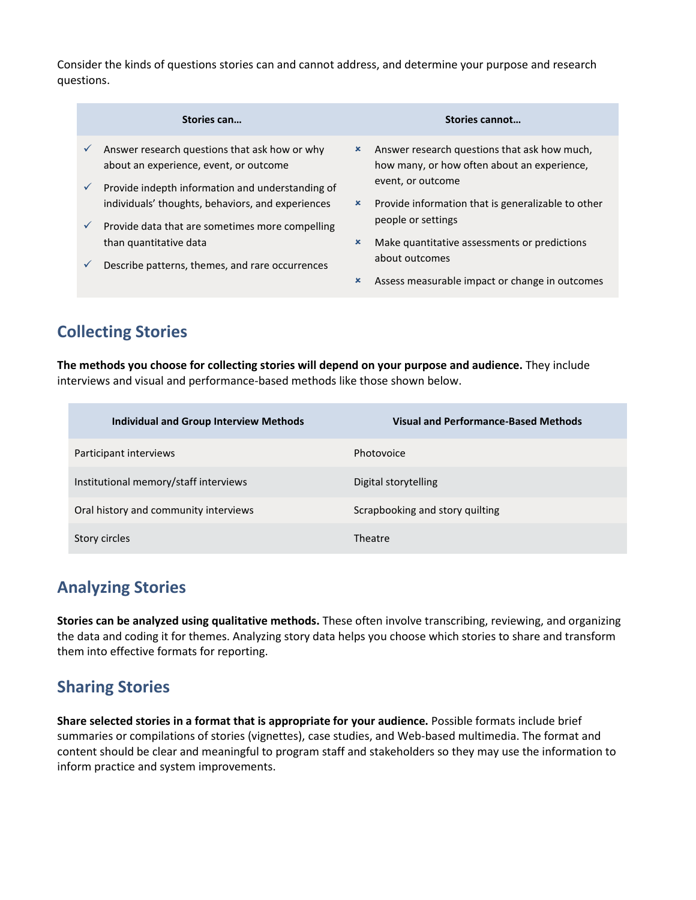Consider the kinds of questions stories can and cannot address, and determine your purpose and research questions.

|                              | Stories can                                                                                                                                                                                                                           |                           | Stories cannot                                                                                                   |
|------------------------------|---------------------------------------------------------------------------------------------------------------------------------------------------------------------------------------------------------------------------------------|---------------------------|------------------------------------------------------------------------------------------------------------------|
| $\checkmark$                 | Answer research questions that ask how or why<br>about an experience, event, or outcome                                                                                                                                               | ×                         | Answer research questions that ask how much,<br>how many, or how often about an experience,<br>event, or outcome |
| $\checkmark$<br>$\checkmark$ | Provide indepth information and understanding of<br>individuals' thoughts, behaviors, and experiences<br>Provide data that are sometimes more compelling<br>than quantitative data<br>Describe patterns, themes, and rare occurrences | $\boldsymbol{\mathsf{x}}$ | Provide information that is generalizable to other<br>people or settings                                         |
| $\checkmark$                 |                                                                                                                                                                                                                                       | $\boldsymbol{\mathsf{x}}$ | Make quantitative assessments or predictions<br>about outcomes                                                   |
|                              |                                                                                                                                                                                                                                       | $\boldsymbol{\mathsf{x}}$ | Assess measurable impact or change in outcomes                                                                   |

## **Collecting Stories**

**The methods you choose for collecting stories will depend on your purpose and audience.** They include interviews and visual and performance-based methods like those shown below.

| <b>Individual and Group Interview Methods</b> | <b>Visual and Performance-Based Methods</b> |
|-----------------------------------------------|---------------------------------------------|
| Participant interviews                        | Photovoice                                  |
| Institutional memory/staff interviews         | Digital storytelling                        |
| Oral history and community interviews         | Scrapbooking and story quilting             |
| Story circles                                 | Theatre                                     |

### **Analyzing Stories**

**Stories can be analyzed using qualitative methods.** These often involve transcribing, reviewing, and organizing the data and coding it for themes. Analyzing story data helps you choose which stories to share and transform them into effective formats for reporting.

### **Sharing Stories**

**Share selected stories in a format that is appropriate for your audience.** Possible formats include brief summaries or compilations of stories (vignettes), case studies, and Web-based multimedia. The format and content should be clear and meaningful to program staff and stakeholders so they may use the information to inform practice and system improvements.